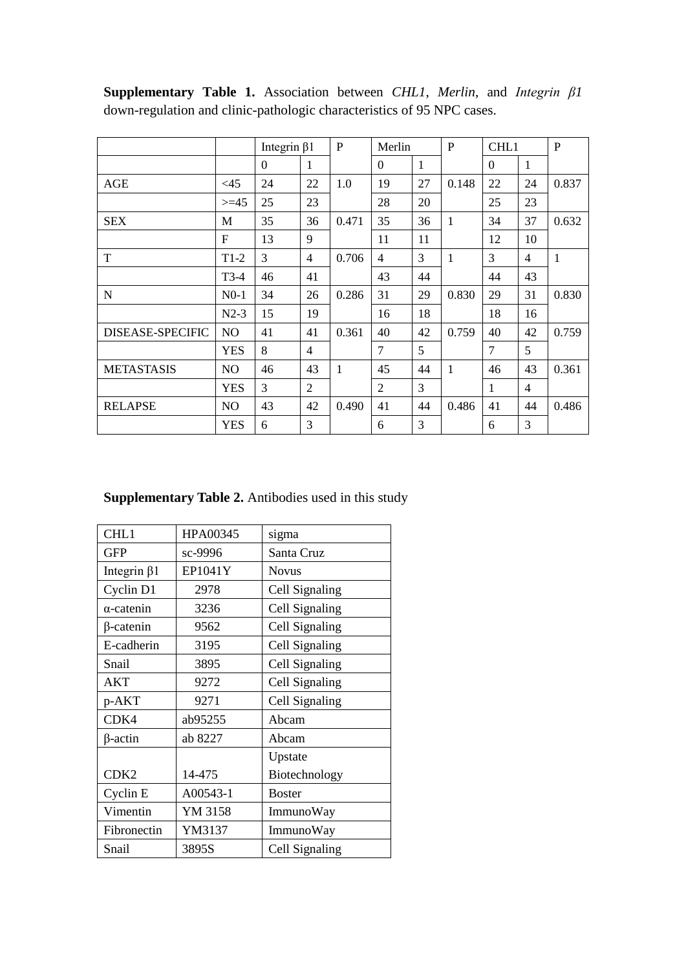|                         |                | Integrin $\beta$ 1 |              | $\mathbf{P}$ | Merlin         |    | $\mathbf{P}$ | CHL1         |                | $\mathbf{P}$ |
|-------------------------|----------------|--------------------|--------------|--------------|----------------|----|--------------|--------------|----------------|--------------|
|                         |                | $\overline{0}$     | $\mathbf{1}$ |              | $\Omega$       | 1  |              | $\Omega$     | 1              |              |
| AGE                     | <45            | 24                 | 22           | 1.0          | 19             | 27 | 0.148        | 22           | 24             | 0.837        |
|                         | $>=15$         | 25                 | 23           |              | 28             | 20 |              | 25           | 23             |              |
| <b>SEX</b>              | M              | 35                 | 36           | 0.471        | 35             | 36 | $\mathbf{1}$ | 34           | 37             | 0.632        |
|                         | $\mathbf{F}$   | 13                 | 9            |              | 11             | 11 |              | 12           | 10             |              |
| T                       | $T1-2$         | 3                  | 4            | 0.706        | $\overline{4}$ | 3  | $\mathbf{1}$ | 3            | 4              | $\mathbf{1}$ |
|                         | $T3-4$         | 46                 | 41           |              | 43             | 44 |              | 44           | 43             |              |
| N                       | $N0-1$         | 34                 | 26           | 0.286        | 31             | 29 | 0.830        | 29           | 31             | 0.830        |
|                         | $N2-3$         | 15                 | 19           |              | 16             | 18 |              | 18           | 16             |              |
| <b>DISEASE-SPECIFIC</b> | N <sub>O</sub> | 41                 | 41           | 0.361        | 40             | 42 | 0.759        | 40           | 42             | 0.759        |
|                         | <b>YES</b>     | 8                  | 4            |              | 7              | 5  |              | 7            | 5              |              |
| <b>METASTASIS</b>       | N <sub>O</sub> | 46                 | 43           | 1            | 45             | 44 | 1            | 46           | 43             | 0.361        |
|                         | <b>YES</b>     | 3                  | 2            |              | $\overline{2}$ | 3  |              | $\mathbf{1}$ | $\overline{4}$ |              |
| <b>RELAPSE</b>          | N <sub>O</sub> | 43                 | 42           | 0.490        | 41             | 44 | 0.486        | 41           | 44             | 0.486        |
|                         | <b>YES</b>     | 6                  | 3            |              | 6              | 3  |              | 6            | 3              |              |

**Supplementary Table 1.** Association between *CHL1*, *Merlin*, and *Integrin β1* down-regulation and clinic-pathologic characteristics of 95 NPC cases.

## **Supplementary Table 2.** Antibodies used in this study

| CHL1               | HPA00345 | sigma          |  |  |  |  |
|--------------------|----------|----------------|--|--|--|--|
| <b>GFP</b>         | sc-9996  | Santa Cruz     |  |  |  |  |
| Integrin $\beta$ 1 | EP1041Y  | <b>Novus</b>   |  |  |  |  |
| Cyclin D1          | 2978     | Cell Signaling |  |  |  |  |
| $\alpha$ -catenin  | 3236     | Cell Signaling |  |  |  |  |
| $\beta$ -catenin   | 9562     | Cell Signaling |  |  |  |  |
| E-cadherin         | 3195     | Cell Signaling |  |  |  |  |
| Snail              | 3895     | Cell Signaling |  |  |  |  |
| AKT                | 9272     | Cell Signaling |  |  |  |  |
| p-AKT              | 9271     | Cell Signaling |  |  |  |  |
| CDK4               | ab95255  | Abcam          |  |  |  |  |
| $\beta$ -actin     | ab 8227  | Abcam          |  |  |  |  |
|                    |          | Upstate        |  |  |  |  |
| CDK <sub>2</sub>   | 14-475   | Biotechnology  |  |  |  |  |
| Cyclin E           | A00543-1 | <b>Boster</b>  |  |  |  |  |
| Vimentin           | YM 3158  | ImmunoWay      |  |  |  |  |
| Fibronectin        | YM3137   | ImmunoWay      |  |  |  |  |
| Snail              | 3895S    | Cell Signaling |  |  |  |  |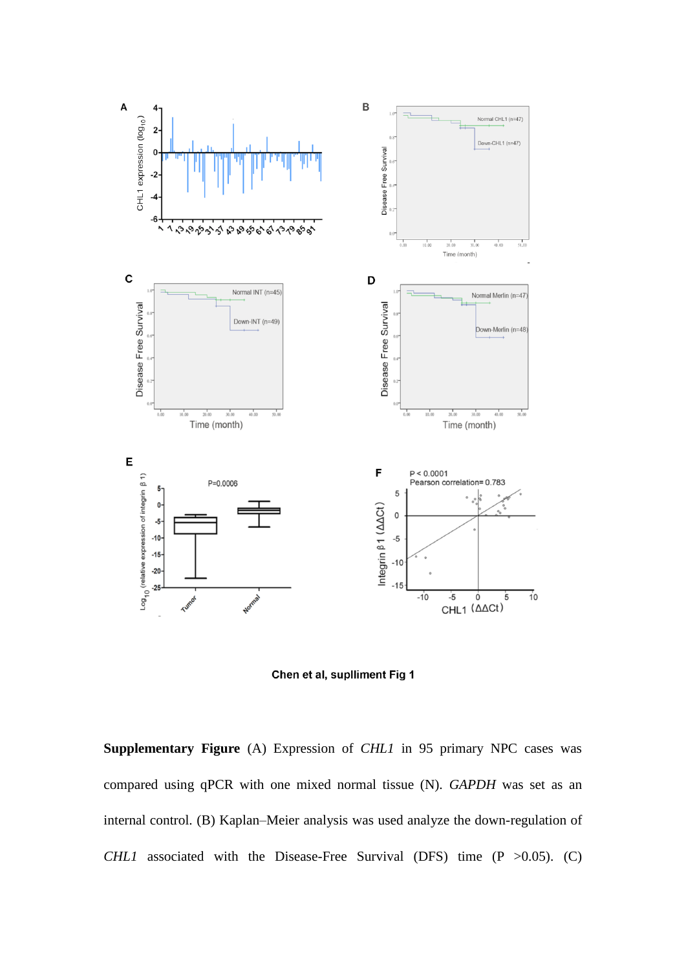



**Supplementary Figure** (A) Expression of *CHL1* in 95 primary NPC cases was compared using qPCR with one mixed normal tissue (N). *GAPDH* was set as an internal control. (B) Kaplan–Meier analysis was used analyze the down-regulation of *CHL1* associated with the Disease-Free Survival (DFS) time (P > 0.05). (C)